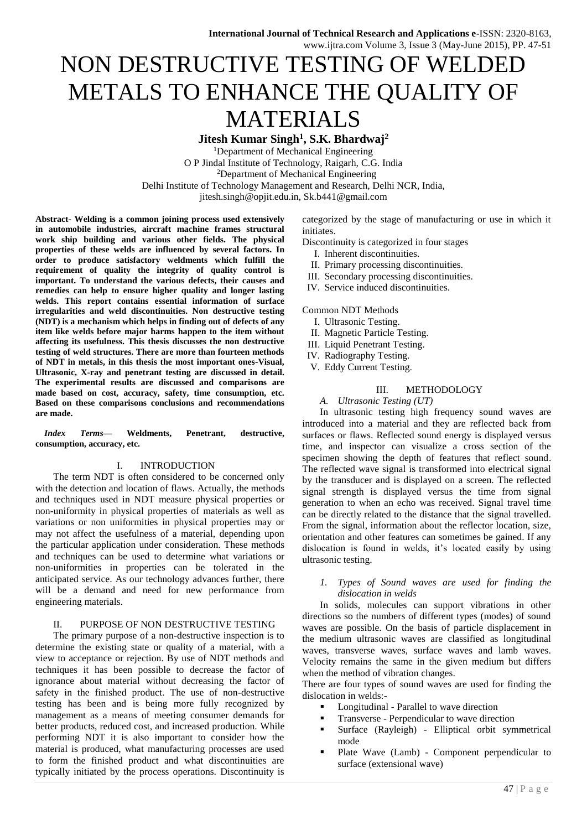# NON DESTRUCTIVE TESTING OF WELDED METALS TO ENHANCE THE QUALITY OF MATERIALS

**Jitesh Kumar Singh<sup>1</sup> , S.K. Bhardwaj<sup>2</sup>** <sup>1</sup>Department of Mechanical Engineering

O P Jindal Institute of Technology, Raigarh, C.G. India <sup>2</sup>Department of Mechanical Engineering Delhi Institute of Technology Management and Research, Delhi NCR, India, jitesh.singh@opjit.edu.in, Sk.b441@gmail.com

**Abstract- Welding is a common joining process used extensively in automobile industries, aircraft machine frames structural work ship building and various other fields. The physical properties of these welds are influenced by several factors. In order to produce satisfactory weldments which fulfill the requirement of quality the integrity of quality control is important. To understand the various defects, their causes and remedies can help to ensure higher quality and longer lasting welds. This report contains essential information of surface irregularities and weld discontinuities. Non destructive testing (NDT) is a mechanism which helps in finding out of defects of any item like welds before major harms happen to the item without affecting its usefulness. This thesis discusses the non destructive testing of weld structures. There are more than fourteen methods of NDT in metals, in this thesis the most important ones-Visual, Ultrasonic, X-ray and penetrant testing are discussed in detail. The experimental results are discussed and comparisons are made based on cost, accuracy, safety, time consumption, etc. Based on these comparisons conclusions and recommendations are made.**

*Index Terms***— Weldments, Penetrant, destructive, consumption, accuracy, etc.**

# I. INTRODUCTION

The term NDT is often considered to be concerned only with the detection and location of flaws. Actually, the methods and techniques used in NDT measure physical properties or non-uniformity in physical properties of materials as well as variations or non uniformities in physical properties may or may not affect the usefulness of a material, depending upon the particular application under consideration. These methods and techniques can be used to determine what variations or non-uniformities in properties can be tolerated in the anticipated service. As our technology advances further, there will be a demand and need for new performance from engineering materials.

# II. PURPOSE OF NON DESTRUCTIVE TESTING

The primary purpose of a non-destructive inspection is to determine the existing state or quality of a material, with a view to acceptance or rejection. By use of NDT methods and techniques it has been possible to decrease the factor of ignorance about material without decreasing the factor of safety in the finished product. The use of non-destructive testing has been and is being more fully recognized by management as a means of meeting consumer demands for better products, reduced cost, and increased production. While performing NDT it is also important to consider how the material is produced, what manufacturing processes are used to form the finished product and what discontinuities are typically initiated by the process operations. Discontinuity is

categorized by the stage of manufacturing or use in which it initiates.

Discontinuity is categorized in four stages

- I. Inherent discontinuities.
- II. Primary processing discontinuities.
- III. Secondary processing discontinuities.
- IV. Service induced discontinuities.

Common NDT Methods

- I. Ultrasonic Testing.
- II. Magnetic Particle Testing.
- III. Liquid Penetrant Testing.
- IV. Radiography Testing.
- V. Eddy Current Testing.

#### III. METHODOLOGY

*A. Ultrasonic Testing (UT)*

In ultrasonic testing high frequency sound waves are introduced into a material and they are reflected back from surfaces or flaws. Reflected sound energy is displayed versus time, and inspector can visualize a cross section of the specimen showing the depth of features that reflect sound. The reflected wave signal is transformed into electrical signal by the transducer and is displayed on a screen. The reflected signal strength is displayed versus the time from signal generation to when an echo was received. Signal travel time can be directly related to the distance that the signal travelled. From the signal, information about the reflector location, size, orientation and other features can sometimes be gained. If any dislocation is found in welds, it's located easily by using ultrasonic testing.

#### *1. Types of Sound waves are used for finding the dislocation in welds*

In solids, molecules can support vibrations in other directions so the numbers of different types (modes) of sound waves are possible. On the basis of particle displacement in the medium ultrasonic waves are classified as longitudinal waves, transverse waves, surface waves and lamb waves. Velocity remains the same in the given medium but differs when the method of vibration changes.

There are four types of sound waves are used for finding the dislocation in welds:-

- Longitudinal Parallel to wave direction
- Transverse Perpendicular to wave direction
- Surface (Rayleigh) Elliptical orbit symmetrical mode
- Plate Wave (Lamb) Component perpendicular to surface (extensional wave)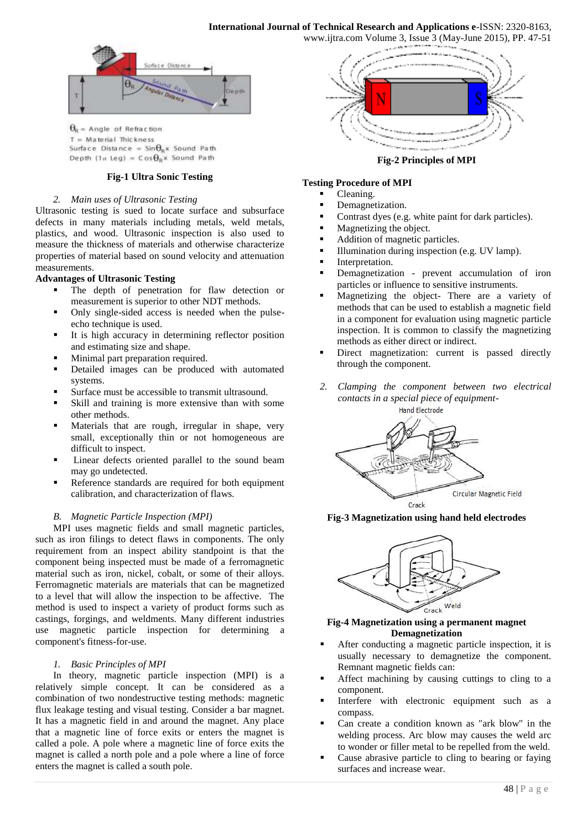www.ijtra.com Volume 3, Issue 3 (May-June 2015), PP. 47-51



 $\theta_R$  = Angle of Refraction  $T =$  Material Thickness Surface Distance =  $\sin\theta_R x$  Sound Path Depth (1w Leg) =  $\cos\theta_R$ x Sound Path

# **Fig-1 Ultra Sonic Testing**

#### *2. Main uses of Ultrasonic Testing*

Ultrasonic testing is sued to locate surface and subsurface defects in many materials including metals, weld metals, plastics, and wood. Ultrasonic inspection is also used to measure the thickness of materials and otherwise characterize properties of material based on sound velocity and attenuation measurements.

#### **Advantages of Ultrasonic Testing**

- The depth of penetration for flaw detection or measurement is superior to other NDT methods.
- Only single-sided access is needed when the pulseecho technique is used.
- It is high accuracy in determining reflector position and estimating size and shape.
- Minimal part preparation required.
- Detailed images can be produced with automated systems.
- Surface must be accessible to transmit ultrasound.
- Skill and training is more extensive than with some other methods.
- Materials that are rough, irregular in shape, very small, exceptionally thin or not homogeneous are difficult to inspect.
- Linear defects oriented parallel to the sound beam may go undetected.
- Reference standards are required for both equipment calibration, and characterization of flaws.

#### *B. Magnetic Particle Inspection (MPI)*

MPI uses magnetic fields and small magnetic particles, such as iron filings to detect flaws in components. The only requirement from an inspect ability standpoint is that the component being inspected must be made of a ferromagnetic material such as iron, nickel, cobalt, or some of their alloys. Ferromagnetic materials are materials that can be magnetized to a level that will allow the inspection to be affective. The method is used to inspect a variety of product forms such as castings, forgings, and weldments. Many different industries use magnetic particle inspection for determining a component's fitness-for-use.

#### *1. Basic Principles of MPI*

In theory, magnetic particle inspection (MPI) is a relatively simple concept. It can be considered as a combination of two nondestructive testing methods: magnetic flux leakage testing and visual testing. Consider a bar magnet. It has a magnetic field in and around the magnet. Any place that a magnetic line of force exits or enters the magnet is called a pole. A pole where a magnetic line of force exits the magnet is called a north pole and a pole where a line of force enters the magnet is called a south pole.



**Fig-2 Principles of MPI**

#### **Testing Procedure of MPI**

- Cleaning.
- Demagnetization.
- Contrast dyes (e.g. white paint for dark particles).
- Magnetizing the object.
- Addition of magnetic particles.
- Illumination during inspection (e.g. UV lamp).
- Interpretation.
- Demagnetization prevent accumulation of iron particles or influence to sensitive instruments.
- Magnetizing the object- There are a variety of methods that can be used to establish a magnetic field in a component for evaluation using magnetic particle inspection. It is common to classify the magnetizing methods as either direct or indirect.
- Direct magnetization: current is passed directly through the component.
- *2. Clamping the component between two electrical contacts in a special piece of equipment-*



**Fig-3 Magnetization using hand held electrodes**



#### **Fig-4 Magnetization using a permanent magnet Demagnetization**

- After conducting a magnetic particle inspection, it is usually necessary to demagnetize the component. Remnant magnetic fields can:
- Affect machining by causing cuttings to cling to a component.
- Interfere with electronic equipment such as a compass.
- Can create a condition known as "ark blow" in the welding process. Arc blow may causes the weld arc to wonder or filler metal to be repelled from the weld.
- Cause abrasive particle to cling to bearing or faying surfaces and increase wear.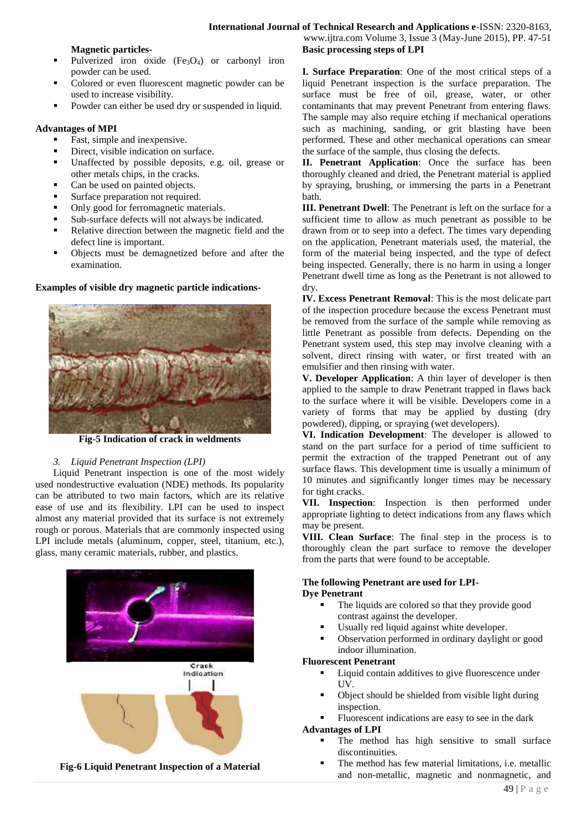#### **Magnetic particles-**

- Pulverized iron oxide  $(Fe<sub>3</sub>O<sub>4</sub>)$  or carbonyl iron powder can be used.
- Colored or even fluorescent magnetic powder can be used to increase visibility.
- Powder can either be used dry or suspended in liquid.

# **Advantages of MPI**

- Fast, simple and inexpensive.
- Direct, visible indication on surface.
- Unaffected by possible deposits, e.g. oil, grease or other metals chips, in the cracks.
- Can be used on painted objects.
- Surface preparation not required.
- Only good for ferromagnetic materials.
- Sub-surface defects will not always be indicated.
- Relative direction between the magnetic field and the defect line is important.
- Objects must be demagnetized before and after the examination.

#### **Examples of visible dry magnetic particle indications-**



**Fig-5 Indication of crack in weldments**

# *3. Liquid Penetrant Inspection (LPI)*

Liquid Penetrant inspection is one of the most widely used nondestructive evaluation (NDE) methods. Its popularity can be attributed to two main factors, which are its relative ease of use and its flexibility. LPI can be used to inspect almost any material provided that its surface is not extremely rough or porous. Materials that are commonly inspected using LPI include metals (aluminum, copper, steel, titanium, etc.), glass, many ceramic materials, rubber, and plastics.



www.ijtra.com Volume 3, Issue 3 (May-June 2015), PP. 47-51 **Basic processing steps of LPI**

**I. Surface Preparation**: One of the most critical steps of a liquid Penetrant inspection is the surface preparation. The surface must be free of oil, grease, water, or other contaminants that may prevent Penetrant from entering flaws. The sample may also require etching if mechanical operations such as machining, sanding, or grit blasting have been performed. These and other mechanical operations can smear the surface of the sample, thus closing the defects.

**II. Penetrant Application**: Once the surface has been thoroughly cleaned and dried, the Penetrant material is applied by spraying, brushing, or immersing the parts in a Penetrant bath.

**III. Penetrant Dwell**: The Penetrant is left on the surface for a sufficient time to allow as much penetrant as possible to be drawn from or to seep into a defect. The times vary depending on the application, Penetrant materials used, the material, the form of the material being inspected, and the type of defect being inspected. Generally, there is no harm in using a longer Penetrant dwell time as long as the Penetrant is not allowed to dry.

**IV. Excess Penetrant Removal**: This is the most delicate part of the inspection procedure because the excess Penetrant must be removed from the surface of the sample while removing as little Penetrant as possible from defects. Depending on the Penetrant system used, this step may involve cleaning with a solvent, direct rinsing with water, or first treated with an emulsifier and then rinsing with water.

**V. Developer Application**: A thin layer of developer is then applied to the sample to draw Penetrant trapped in flaws back to the surface where it will be visible. Developers come in a variety of forms that may be applied by dusting (dry powdered), dipping, or spraying (wet developers).

**VI. Indication Development**: The developer is allowed to stand on the part surface for a period of time sufficient to permit the extraction of the trapped Penetrant out of any surface flaws. This development time is usually a minimum of 10 minutes and significantly longer times may be necessary for tight cracks.

**VII. Inspection**: Inspection is then performed under appropriate lighting to detect indications from any flaws which may be present.

**VIII. Clean Surface**: The final step in the process is to thoroughly clean the part surface to remove the developer from the parts that were found to be acceptable.

# **The following Penetrant are used for LPI-Dye Penetrant**

- The liquids are colored so that they provide good contrast against the developer.
- Usually red liquid against white developer.
- Observation performed in ordinary daylight or good indoor illumination.

#### **Fluorescent Penetrant**

- Liquid contain additives to give fluorescence under UV.
- Object should be shielded from visible light during inspection.
- Fluorescent indications are easy to see in the dark **Advantages of LPI**

#### The method has high sensitive to small surface discontinuities.

 The method has few material limitations, i.e. metallic and non-metallic, magnetic and nonmagnetic, and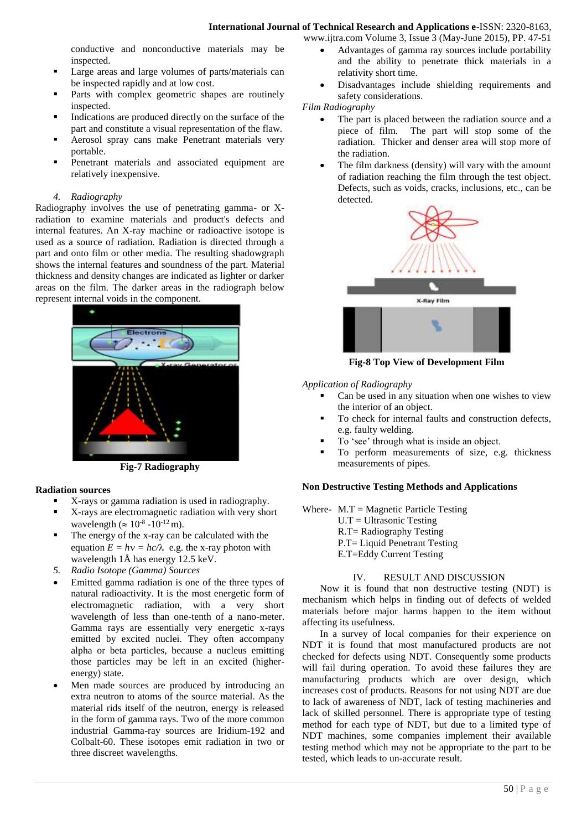conductive and nonconductive materials may be inspected.

- Large areas and large volumes of parts/materials can be inspected rapidly and at low cost.
- Parts with complex geometric shapes are routinely inspected.
- Indications are produced directly on the surface of the part and constitute a visual representation of the flaw.
- Aerosol spray cans make Penetrant materials very portable.
- Penetrant materials and associated equipment are relatively inexpensive.

#### *4. Radiography*

Radiography involves the use of penetrating gamma- or Xradiation to examine materials and product's defects and internal features. An X-ray machine or radioactive isotope is used as a source of radiation. Radiation is directed through a part and onto film or other media. The resulting shadowgraph shows the internal features and soundness of the part. Material thickness and density changes are indicated as lighter or darker areas on the film. The darker areas in the radiograph below represent internal voids in the component.



**Fig-7 Radiography**

# **Radiation sources**

- X-rays or gamma radiation is used in radiography.
- X-rays are electromagnetic radiation with very short wavelength ( $\approx 10^{-8}$  -10<sup>-12</sup> m).
- The energy of the x-ray can be calculated with the equation  $E = hv = hc/\lambda$  e.g. the x-ray photon with wavelength 1Å has energy 12.5 keV.
- *5. Radio Isotope (Gamma) Sources*
- Emitted gamma radiation is one of the three types of natural radioactivity. It is the most energetic form of electromagnetic radiation, with a very short wavelength of less than one-tenth of a nano-meter. Gamma rays are essentially very energetic x-rays emitted by excited nuclei. They often accompany alpha or beta particles, because a nucleus emitting those particles may be left in an excited (higherenergy) state.
- Men made sources are produced by introducing an extra neutron to atoms of the source material. As the material rids itself of the neutron, energy is released in the form of gamma rays. Two of the more common industrial Gamma-ray sources are Iridium-192 and Colbalt-60. These isotopes emit radiation in two or three discreet wavelengths.
- www.ijtra.com Volume 3, Issue 3 (May-June 2015), PP. 47-51 Advantages of gamma ray sources include portability and the ability to penetrate thick materials in a relativity short time.
	- Disadvantages include shielding requirements and safety considerations.

*Film Radiography*

- The part is placed between the radiation source and a piece of film. The part will stop some of the radiation. Thicker and denser area will stop more of the radiation.
- The film darkness (density) will vary with the amount of radiation reaching the film through the test object. Defects, such as voids, cracks, inclusions, etc., can be detected.



**Fig-8 Top View of Development Film**

*Application of Radiography*

- Can be used in any situation when one wishes to view the interior of an object.
- To check for internal faults and construction defects, e.g. faulty welding.
- To 'see' through what is inside an object.
- To perform measurements of size, e.g. thickness measurements of pipes.

# **Non Destructive Testing Methods and Applications**

Where-  $M.T = Magnetic Particle Testing$ 

- $U.T = Ultrasonic Testing$ R.T= Radiography Testing P.T= Liquid Penetrant Testing E.T=Eddy Current Testing
	-

# IV. RESULT AND DISCUSSION

Now it is found that non destructive testing (NDT) is mechanism which helps in finding out of defects of welded materials before major harms happen to the item without affecting its usefulness.

In a survey of local companies for their experience on NDT it is found that most manufactured products are not checked for defects using NDT. Consequently some products will fail during operation. To avoid these failures they are manufacturing products which are over design, which increases cost of products. Reasons for not using NDT are due to lack of awareness of NDT, lack of testing machineries and lack of skilled personnel. There is appropriate type of testing method for each type of NDT, but due to a limited type of NDT machines, some companies implement their available testing method which may not be appropriate to the part to be tested, which leads to un-accurate result.